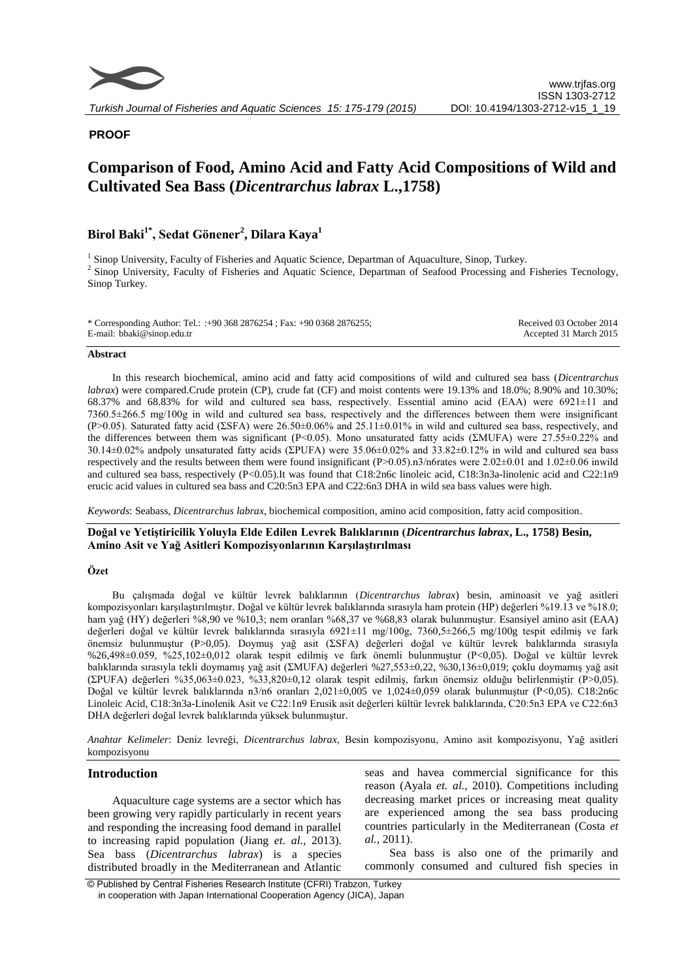

# **PROOF**

# **Comparison of Food, Amino Acid and Fatty Acid Compositions of Wild and Cultivated Sea Bass (***Dicentrarchus labrax* **L.,1758)**

# **Birol Baki1\* , Sedat Gönener<sup>2</sup> , Dilara Kaya<sup>1</sup>**

<sup>1</sup> Sinop University, Faculty of Fisheries and Aquatic Science, Departman of Aquaculture, Sinop, Turkey. <sup>2</sup> Sinop University, Faculty of Fisheries and Aquatic Science, Departman of Seafood Processing and Fisheries Tecnology, Sinop Turkey.

| * Corresponding Author: Tel.: :+90 368 2876254 ; Fax: +90 0368 2876255; | Received 03 October 2014 |
|-------------------------------------------------------------------------|--------------------------|
| E-mail: bbaki@sinop.edu.tr                                              | Accepted 31 March 2015   |

#### **Abstract**

In this research biochemical, amino acid and fatty acid compositions of wild and cultured sea bass (*Dicentrarchus labrax*) were compared.Crude protein (CP), crude fat (CF) and moist contents were 19.13% and 18.0%; 8.90% and 10.30%; 68.37% and 68.83% for wild and cultured sea bass, respectively. Essential amino acid (EAA) were 6921±11 and 7360.5±266.5 mg/100g in wild and cultured sea bass, respectively and the differences between them were insignificant (P>0.05). Saturated fatty acid ( $\Sigma$ SFA) were 26.50 $\pm$ 0.06% and 25.11 $\pm$ 0.01% in wild and cultured sea bass, respectively, and the differences between them was significant (P<0.05). Mono unsaturated fatty acids ( $\text{EMUFA}$ ) were 27.55±0.22% and 30.14 $\pm$ 0.02% andpoly unsaturated fatty acids ( $\Sigma$ PUFA) were 35.06 $\pm$ 0.02% and 33.82 $\pm$ 0.12% in wild and cultured sea bass respectively and the results between them were found insignificant (P>0.05).n3/n6rates were 2.02±0.01 and 1.02±0.06 inwild and cultured sea bass, respectively (P<0.05).It was found that C18:2n6c linoleic acid, C18:3n3a-linolenic acid and C22:1n9 erucic acid values in cultured sea bass and C20:5n3 EPA and C22:6n3 DHA in wild sea bass values were high.

*Keywords*: Seabass, *Dicentrarchus labrax*, biochemical composition, amino acid composition, fatty acid composition.

**Doğal ve Yetiştiricilik Yoluyla Elde Edilen Levrek Balıklarının (***Dicentrarchus labrax***, L., 1758) Besin, Amino Asit ve Yağ Asitleri Kompozisyonlarının Karşılaştırılması**

# **Özet**

Bu çalışmada doğal ve kültür levrek balıklarının (*Dicentrarchus labrax*) besin, aminoasit ve yağ asitleri kompozisyonları karşılaştırılmıştır. Doğal ve kültür levrek balıklarında sırasıyla ham protein (HP) değerleri %19.13 ve %18.0; ham yağ (HY) değerleri %8,90 ve %10,3; nem oranları %68,37 ve %68,83 olarak bulunmuştur. Esansiyel amino asit (EAA) değerleri doğal ve kültür levrek balıklarında sırasıyla 6921±11 mg/100g, 7360,5±266,5 mg/100g tespit edilmiş ve fark önemsiz bulunmuştur (P>0,05). Doymuş yağ asit (ƩSFA) değerleri doğal ve kültür levrek balıklarında sırasıyla %26,498±0.059, %25,102±0,012 olarak tespit edilmiş ve fark önemli bulunmuştur (P<0,05). Doğal ve kültür levrek balıklarında sırasıyla tekli doymamış yağ asit (ZMUFA) değerleri %27,553±0,22, %30,136±0,019; çoklu doymamış yağ asit (ƩPUFA) değerleri %35,063±0.023, %33,820±0,12 olarak tespit edilmiş, farkın önemsiz olduğu belirlenmiştir (P>0,05). Doğal ve kültür levrek balıklarında n3/n6 oranları 2,021±0,005 ve 1,024±0,059 olarak bulunmuştur (P<0,05). C18:2n6c Linoleic Acid, C18:3n3a-Linolenik Asit ve C22:1n9 Erusik asit değerleri kültür levrek balıklarında, C20:5n3 EPA ve C22:6n3 DHA değerleri doğal levrek balıklarında yüksek bulunmuştur.

*Anahtar Kelimeler*: Deniz levreği, *Dicentrarchus labrax*, Besin kompozisyonu, Amino asit kompozisyonu, Yağ asitleri kompozisyonu

# **Introduction**

Aquaculture cage systems are a sector which has been growing very rapidly particularly in recent years and responding the increasing food demand in parallel to increasing rapid population (Jiang *et. al.,* 2013). Sea bass (*Dicentrarchus labrax*) is a species distributed broadly in the Mediterranean and Atlantic

seas and havea commercial significance for this reason (Ayala *et. al.,* 2010). Competitions including decreasing market prices or increasing meat quality are experienced among the sea bass producing countries particularly in the Mediterranean (Costa *et al.,* 2011).

Sea bass is also one of the primarily and commonly consumed and cultured fish species in

© Published by Central Fisheries Research Institute (CFRI) Trabzon, Turkey in cooperation with Japan International Cooperation Agency (JICA), Japan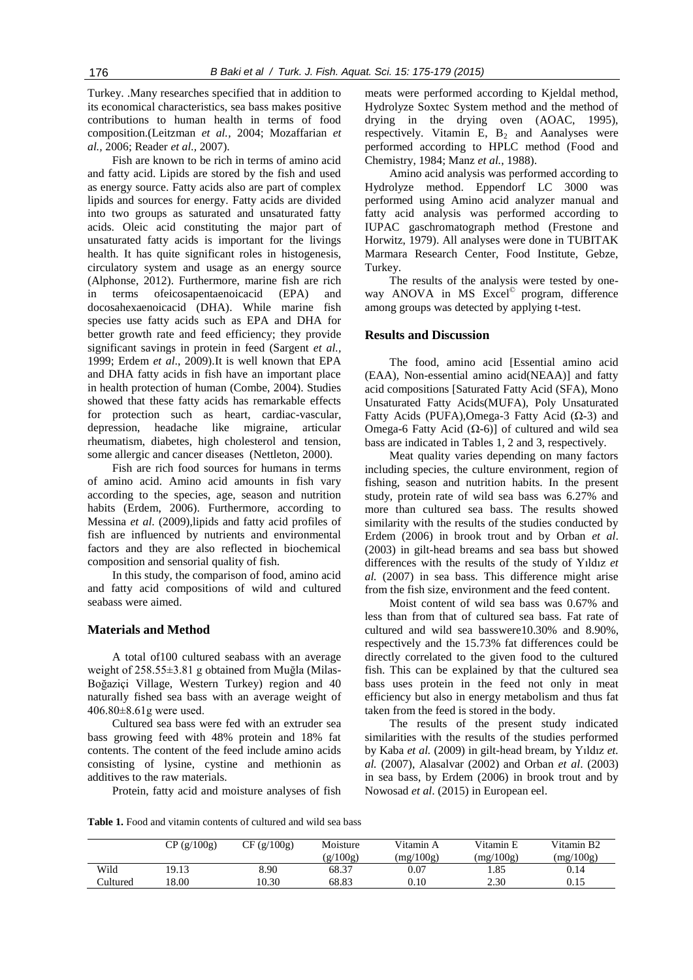Turkey. .Many researches specified that in addition to its economical characteristics, sea bass makes positive contributions to human health in terms of food composition.(Leitzman *et al.,* 2004; Mozaffarian *et al.,* 2006; Reader *et al.,* 2007).

Fish are known to be rich in terms of amino acid and fatty acid. Lipids are stored by the fish and used as energy source. Fatty acids also are part of complex lipids and sources for energy. Fatty acids are divided into two groups as saturated and unsaturated fatty acids. Oleic acid constituting the major part of unsaturated fatty acids is important for the livings health. It has quite significant roles in histogenesis, circulatory system and usage as an energy source (Alphonse, 2012). Furthermore, marine fish are rich in terms ofeicosapentaenoicacid (EPA) and docosahexaenoicacid (DHA). While marine fish species use fatty acids such as EPA and DHA for better growth rate and feed efficiency; they provide significant savings in protein in feed (Sargent *et al.,*  1999; Erdem *et al*., 2009).It is well known that EPA and DHA fatty acids in fish have an important place in health protection of human (Combe, 2004). Studies showed that these fatty acids has remarkable effects for protection such as heart, cardiac-vascular, depression, headache like migraine, articular rheumatism, diabetes, high cholesterol and tension, some allergic and cancer diseases (Nettleton, 2000).

Fish are rich food sources for humans in terms of amino acid. Amino acid amounts in fish vary according to the species, age, season and nutrition habits (Erdem, 2006). Furthermore, according to Messina *et al*. (2009),lipids and fatty acid profiles of fish are influenced by nutrients and environmental factors and they are also reflected in biochemical composition and sensorial quality of fish.

In this study, the comparison of food, amino acid and fatty acid compositions of wild and cultured seabass were aimed.

## **Materials and Method**

A total of100 cultured seabass with an average weight of 258.55±3.81 g obtained from Muğla (Milas-Boğaziçi Village, Western Turkey) region and 40 naturally fished sea bass with an average weight of 406.80±8.61g were used.

Cultured sea bass were fed with an extruder sea bass growing feed with 48% protein and 18% fat contents. The content of the feed include amino acids consisting of lysine, cystine and methionin as additives to the raw materials.

Protein, fatty acid and moisture analyses of fish

meats were performed according to Kjeldal method, Hydrolyze Soxtec System method and the method of drying in the drying oven (AOAC, 1995), respectively. Vitamin E,  $B_2$  and Aanalyses were performed according to HPLC method (Food and Chemistry, 1984; Manz *et al.*, 1988).

Amino acid analysis was performed according to Hydrolyze method. Eppendorf LC 3000 was performed using Amino acid analyzer manual and fatty acid analysis was performed according to IUPAC gaschromatograph method (Frestone and Horwitz, 1979). All analyses were done in TUBITAK Marmara Research Center, Food Institute, Gebze, Turkey.

The results of the analysis were tested by oneway ANOVA in MS Excel<sup>©</sup> program, difference among groups was detected by applying t-test.

#### **Results and Discussion**

The food, amino acid [Essential amino acid (EAA), Non-essential amino acid(NEAA)] and fatty acid compositions [Saturated Fatty Acid (SFA), Mono Unsaturated Fatty Acids(MUFA), Poly Unsaturated Fatty Acids (PUFA),Omega-3 Fatty Acid (Ω-3) and Omega-6 Fatty Acid  $(Ω-6)$ ] of cultured and wild sea bass are indicated in Tables 1, 2 and 3, respectively.

Meat quality varies depending on many factors including species, the culture environment, region of fishing, season and nutrition habits. In the present study, protein rate of wild sea bass was 6.27% and more than cultured sea bass. The results showed similarity with the results of the studies conducted by Erdem (2006) in brook trout and by Orban *et al*. (2003) in gilt-head breams and sea bass but showed differences with the results of the study of Yıldız *et al.* (2007) in sea bass. This difference might arise from the fish size, environment and the feed content.

Moist content of wild sea bass was 0.67% and less than from that of cultured sea bass. Fat rate of cultured and wild sea basswere10.30% and 8.90%, respectively and the 15.73% fat differences could be directly correlated to the given food to the cultured fish. This can be explained by that the cultured sea bass uses protein in the feed not only in meat efficiency but also in energy metabolism and thus fat taken from the feed is stored in the body.

The results of the present study indicated similarities with the results of the studies performed by Kaba *et al.* (2009) in gilt-head bream, by Yıldız *et. al.* (2007), Alasalvar (2002) and Orban *et al*. (2003) in sea bass, by Erdem (2006) in brook trout and by Nowosad *et al*. (2015) in European eel.

**Table 1.** Food and vitamin contents of cultured and wild sea bass

|          | CP (g/100g) | CF (g/100g) | Moisture | Vitamin A | Vitamin E | Vitamin B <sub>2</sub> |
|----------|-------------|-------------|----------|-----------|-----------|------------------------|
|          |             |             | (g/100g) | (mg/100g) | (mg/100g) | (mg/100g)              |
| Wild     | 19.13       | 8.90        | 68.37    | 0.07      | 1.85      | 0.14                   |
| Cultured | 18.00       | 10.30       | 68.83    | 0.10      | 2.30      | 0.15                   |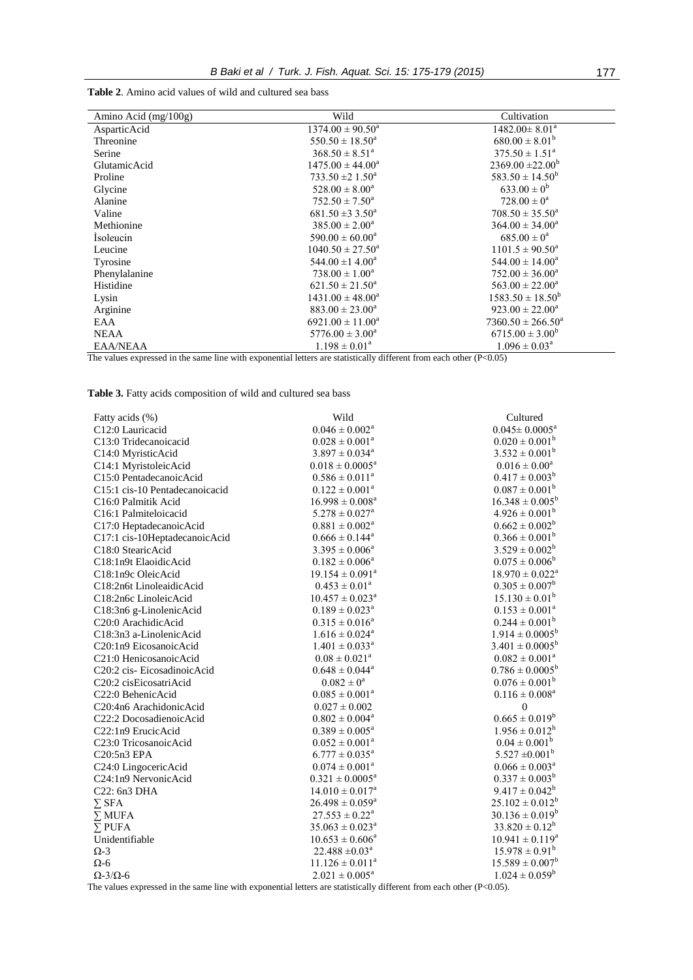**Table 2**. Amino acid values of wild and cultured sea bass

| Amino Acid (mg/100g)      | Wild                             | Cultivation                  |
|---------------------------|----------------------------------|------------------------------|
| AsparticAcid              | $1374.00 \pm 90.50^a$            | $1482.00 \pm 8.01^a$         |
| Threonine                 | $550.50 \pm 18.50^a$             | $680.00 \pm 8.01^b$          |
| Serine                    | $368.50 \pm 8.51^a$              | $375.50 \pm 1.51^a$          |
| GlutamicAcid              | $1475.00 \pm 44.00^a$            | $2369.00 \pm 22.00^b$        |
| Proline                   | $733.50 \pm 21.50^a$             | $583.50 \pm 14.50^b$         |
| Glycine                   | $528.00 \pm 8.00^a$              | $633.00 \pm 0^b$             |
| Alanine                   | $752.50 \pm 7.50^{\circ}$        | $728.00 \pm 0^a$             |
| Valine                    | $681.50 \pm 33.50^a$             | $708.50 \pm 35.50^a$         |
| Methionine                | $385.00 \pm 2.00^{\circ}$        | $364.00 \pm 34.00^a$         |
| Isoleucin                 | $590.00 \pm 60.00^a$             | $685.00 \pm 0^a$             |
| Leucine                   | $1040.50 \pm 27.50^a$            | $1101.5 \pm 90.50^a$         |
| Tyrosine                  | 544.00 $\pm$ 1 4.00 <sup>a</sup> | $544.00 \pm 14.00^a$         |
| Phenylalanine             | $738.00 \pm 1.00^a$              | $752.00 \pm 36.00^a$         |
| Histidine                 | $621.50 \pm 21.50^a$             | $563.00 \pm 22.00^a$         |
| Lysin                     | $1431.00 \pm 48.00^a$            | $1583.50 \pm 18.50^b$        |
| Arginine                  | $883.00 \pm 23.00^a$             | $923.00 \pm 22.00^a$         |
| EAA                       | $6921.00 \pm 11.00^a$            | $7360.50 \pm 266.50^{\circ}$ |
| <b>NEAA</b>               | $5776.00 \pm 3.00^a$             | $6715.00 \pm 3.00^b$         |
| EAA/NEAA<br>$\sim$ $\sim$ | $1.198 \pm 0.01^a$               | $1.096 \pm 0.03^{\text{a}}$  |

The values expressed in the same line with exponential letters are statistically different from each other  $(P<0.05)$ 

**Table 3.** Fatty acids composition of wild and cultured sea bass

| Fatty acids (%)                | Wild                            | Cultured                      |
|--------------------------------|---------------------------------|-------------------------------|
| C12:0 Lauricacid               | $0.046 \pm 0.002^a$             | $0.045 \pm 0.0005^a$          |
| C13:0 Tridecanoicacid          | $0.028 \pm 0.001^a$             | $0.020 \pm 0.001^b$           |
| C14:0 MyristicAcid             | $3.897 \pm 0.034^{\circ}$       | $3.532 \pm 0.001^{\circ}$     |
| C14:1 MyristoleicAcid          | $0.018 \pm 0.0005^a$            | $0.016\pm0.00^{\mathrm{a}}$   |
| C15:0 PentadecanoicAcid        | $0.586 \pm 0.011^a$             | $0.417 \pm 0.003^b$           |
| C15:1 cis-10 Pentadecanoicacid | $0.122 \pm 0.001^a$             | $0.087 \pm 0.001^b$           |
| C16:0 Palmitik Acid            | $16.998 \pm 0.008^a$            | $16.348 \pm 0.005^b$          |
| C16:1 Palmiteloicacid          | $5.278 \pm 0.027^{\text{a}}$    | $4.926 \pm 0.001^b$           |
| C17:0 HeptadecanoicAcid        | $0.881 \pm 0.002^{\text{a}}$    | $0.662 \pm 0.002^b$           |
| C17:1 cis-10HeptadecanoicAcid  | $0.666 \pm 0.144^{\text{a}}$    | $0.366 \pm 0.001^b$           |
| C18:0 StearicAcid              | $3.395 \pm 0.006^a$             | $3.529 \pm 0.002^b$           |
| C18:1n9t ElaoidicAcid          | $0.182 \pm 0.006^a$             | $0.075 \pm 0.006^b$           |
| C18:1n9c OleicAcid             | $19.154 \pm 0.091^a$            | $18.970 \pm 0.022^{\text{a}}$ |
| C18:2n6t LinoleaidicAcid       | $0.453 \pm 0.01^{\text{a}}$     | $0.305 \pm 0.007^b$           |
| C18:2n6c LinoleicAcid          | $10.457 \pm 0.023$ <sup>a</sup> | $15.130 \pm 0.01^b$           |
| C18:3n6 g-LinolenicAcid        | $0.189 \pm 0.023^{\text{a}}$    | $0.153 \pm 0.001^a$           |
| C20:0 ArachidicAcid            | $0.315 \pm 0.016^a$             | $0.244 \pm 0.001^b$           |
| C18:3n3 a-LinolenicAcid        | $1.616 \pm 0.024^{\text{a}}$    | $1.914 \pm 0.0005^b$          |
| C20:1n9 EicosanoicAcid         | $1.401 \pm 0.033^{\text{a}}$    | $3.401 \pm 0.0005^b$          |
| C21:0 HenicosanoicAcid         | $0.08 \pm 0.021^a$              | $0.082 \pm 0.001^a$           |
| C20:2 cis-EicosadinoicAcid     | $0.648 \pm 0.044^a$             | $0.786 \pm 0.0005^b$          |
| C20:2 cisEicosatriAcid         | $0.082 \pm 0^a$                 | $0.076 \pm 0.001^b$           |
| C22:0 BehenicAcid              | $0.085 \pm 0.001^a$             | $0.116 \pm 0.008^a$           |
| C20:4n6 ArachidonicAcid        | $0.027 \pm 0.002$               | $\theta$                      |
| C22:2 DocosadienoicAcid        | $0.802 \pm 0.004^a$             | $0.665 \pm 0.019^b$           |
| C22:1n9 ErucicAcid             | $0.389 \pm 0.005^a$             | $1.956 \pm 0.012^b$           |
| C23:0 TricosanoicAcid          | $0.052 \pm 0.001^a$             | $0.04 \pm 0.001^b$            |
| C20:5n3 EPA                    | $6.777 \pm 0.035^{\text{a}}$    | $5.527 \pm 0.001^b$           |
| C24:0 LingocericAcid           | $0.074 \pm 0.001^{\text{a}}$    | $0.066 \pm 0.003^a$           |
| C24:1n9 NervonicAcid           | $0.321 \pm 0.0005^a$            | $0.337 \pm 0.003^b$           |
| C22: 6n3 DHA                   | $14.010 \pm 0.017^a$            | $9.417 \pm 0.042^b$           |
| $\sum \mathrm{SFA}$            | $26.498 \pm 0.059^{\circ}$      | $25.102 \pm 0.012^b$          |
| $\overline{\Sigma}$ MUFA       | $27.553 \pm 0.22^{\text{a}}$    | $30.136 \pm 0.019^b$          |
| $\Sigma$ PUFA                  | $35.063 \pm 0.023^{\circ}$      | $33.820 \pm 0.12^b$           |
| Unidentifiable                 | $10.653 \pm 0.606^a$            | $10.941 \pm 0.119^a$          |
| $\Omega$ -3                    | $22.488 \pm 0.03^a$             | $15.978 \pm 0.91^b$           |
| $\Omega$ -6                    | $11.126 \pm 0.011^a$            | $15.589 \pm 0.007^b$          |
| $\Omega$ -3/ $\Omega$ -6       | $2.021 \pm 0.005^a$             | $1.024 \pm 0.059^b$           |
|                                |                                 |                               |

The values expressed in the same line with exponential letters are statistically different from each other (P<0.05).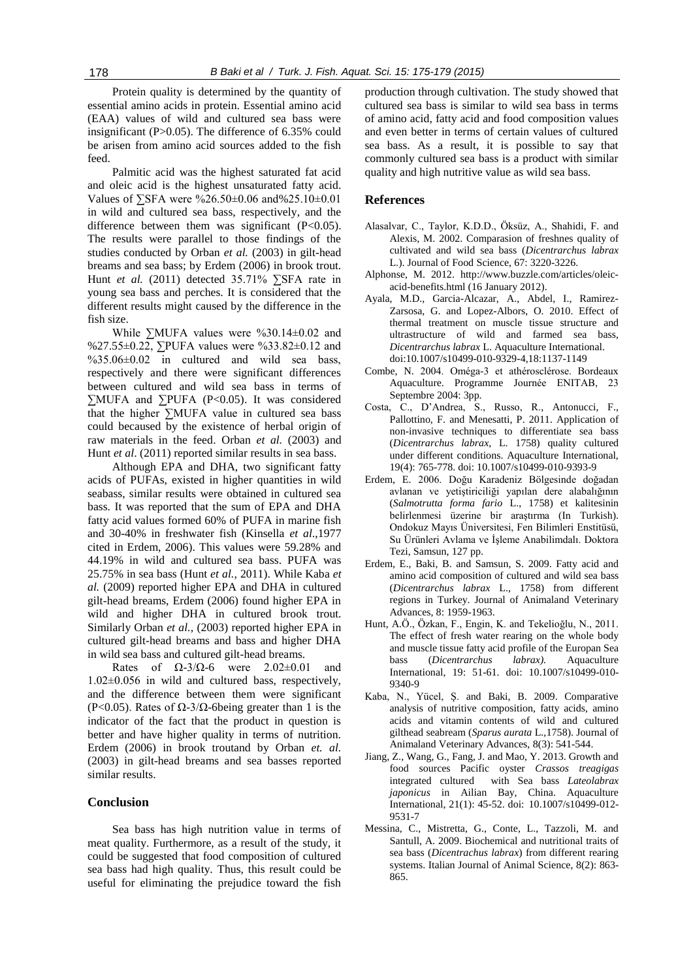Protein quality is determined by the quantity of essential amino acids in protein. Essential amino acid (EAA) values of wild and cultured sea bass were insignificant (P>0.05). The difference of 6.35% could be arisen from amino acid sources added to the fish feed.

Palmitic acid was the highest saturated fat acid and oleic acid is the highest unsaturated fatty acid. Values of ∑SFA were %26.50±0.06 and%25.10±0.01 in wild and cultured sea bass, respectively, and the difference between them was significant (P<0.05). The results were parallel to those findings of the studies conducted by Orban *et al.* (2003) in gilt-head breams and sea bass; by Erdem (2006) in brook trout. Hunt *et al.* (2011) detected 35.71% ∑SFA rate in young sea bass and perches. It is considered that the different results might caused by the difference in the fish size.

While ∑MUFA values were %30.14±0.02 and %27.55±0.22, ∑PUFA values were %33.82±0.12 and %35.06±0.02 in cultured and wild sea bass, respectively and there were significant differences between cultured and wild sea bass in terms of ∑MUFA and ∑PUFA (P<0.05). It was considered that the higher ∑MUFA value in cultured sea bass could becaused by the existence of herbal origin of raw materials in the feed. Orban *et al.* (2003) and Hunt *et al*. (2011) reported similar results in sea bass.

Although EPA and DHA, two significant fatty acids of PUFAs, existed in higher quantities in wild seabass, similar results were obtained in cultured sea bass. It was reported that the sum of EPA and DHA fatty acid values formed 60% of PUFA in marine fish and 30-40% in freshwater fish (Kinsella *et al*.,1977 cited in Erdem, 2006). This values were 59.28% and 44.19% in wild and cultured sea bass. PUFA was 25.75% in sea bass (Hunt *et al.,* 2011). While Kaba *et al.* (2009) reported higher EPA and DHA in cultured gilt-head breams, Erdem (2006) found higher EPA in wild and higher DHA in cultured brook trout. Similarly Orban *et al.,* (2003) reported higher EPA in cultured gilt-head breams and bass and higher DHA in wild sea bass and cultured gilt-head breams.

Rates of  $\Omega$ -3/ $\Omega$ -6 were 2.02±0.01 and 1.02±0.056 in wild and cultured bass, respectively, and the difference between them were significant (P<0.05). Rates of  $\Omega$ -3/ $\Omega$ -6being greater than 1 is the indicator of the fact that the product in question is better and have higher quality in terms of nutrition. Erdem (2006) in brook troutand by Orban *et. al.* (2003) in gilt-head breams and sea basses reported similar results.

#### **Conclusion**

Sea bass has high nutrition value in terms of meat quality. Furthermore, as a result of the study, it could be suggested that food composition of cultured sea bass had high quality. Thus, this result could be useful for eliminating the prejudice toward the fish

production through cultivation. The study showed that cultured sea bass is similar to wild sea bass in terms of amino acid, fatty acid and food composition values and even better in terms of certain values of cultured sea bass. As a result, it is possible to say that commonly cultured sea bass is a product with similar quality and high nutritive value as wild sea bass.

### **References**

- Alasalvar, C., Taylor, K.D.D., Öksüz, A., Shahidi, F. and Alexis, M. 2002. Comparasion of freshnes quality of cultivated and wild sea bass (*Dicentrarchus labrax* L.). Journal of Food Science, 67: 3220-3226.
- Alphonse, M. 2012. [http://www.buzzle.com/articles/oleic](http://www.buzzle.com/articles/oleic-acid-benefits.html%20(16)[acid-benefits.html \(16](http://www.buzzle.com/articles/oleic-acid-benefits.html%20(16) January 2012).
- Ayala, M.D., Garcia-Alcazar, A., Abdel, I., Ramirez-Zarsosa, G. and Lopez-Albors, O. 2010. Effect of thermal treatment on muscle tissue structure and ultrastructure of wild and farmed sea bass, *Dicentrarchus labrax* L. Aquaculture International. doi:10.1007/s10499-010-9329-4,18:1137-1149
- Combe, N. 2004. Oméga-3 et athérosclérose. Bordeaux Aquaculture. Programme Journée ENITAB, 23 Septembre 2004: 3pp.
- Costa, C., D'Andrea, S., Russo, R., Antonucci, F., Pallottino, F. and Menesatti, P. 2011. Application of non-invasive techniques to differentiate sea bass (*Dicentrarchus labrax*, L. 1758) quality cultured under different conditions. Aquaculture International, 19(4): 765-778. doi: 10.1007/s10499-010-9393-9
- Erdem, E. 2006. Doğu Karadeniz Bölgesinde doğadan avlanan ve yetiştiriciliği yapılan dere alabalığının (*Salmotrutta forma fario* L., 1758) et kalitesinin belirlenmesi üzerine bir araştırma (In Turkish). Ondokuz Mayıs Üniversitesi, Fen Bilimleri Enstitüsü, Su Ürünleri Avlama ve İşleme Anabilimdalı. Doktora Tezi, Samsun, 127 pp.
- Erdem, E., Baki, B. and Samsun, S. 2009. Fatty acid and amino acid composition of cultured and wild sea bass (*Dicentrarchus labrax* L., 1758) from different regions in Turkey. Journal of Animaland Veterinary Advances, 8: 1959-1963.
- Hunt, A.Ö., Özkan, F., Engin, K. and Tekelioğlu, N., 2011. The effect of fresh water rearing on the whole body and muscle tissue fatty acid profile of the Europan Sea bass (*Dicentrarchus labrax).* Aquaculture International, 19: 51-61. doi: 10.1007/s10499-010- 9340-9
- Kaba, N., Yücel, Ş. and Baki, B. 2009. Comparative analysis of nutritive composition, fatty acids, amino acids and vitamin contents of wild and cultured gilthead seabream (*Sparus aurata* L.,1758). Journal of Animaland Veterinary Advances, 8(3): 541-544.
- Jiang, Z., Wang, G., Fang, J. and Mao, Y. 2013. Growth and food sources Pacific oyster *Crassos treagigas* integrated cultured with Sea bass *Lateolabrax japonicus* in Ailian Bay, China. Aquaculture International, 21(1): 45-52. doi: 10.1007/s10499-012- 9531-7
- Messina, C., Mistretta, G., Conte, L., Tazzoli, M. and Santull, A. 2009. Biochemical and nutritional traits of sea bass (*Dicentrachus labrax*) from different rearing systems. Italian Journal of Animal Science, 8(2): 863- 865.